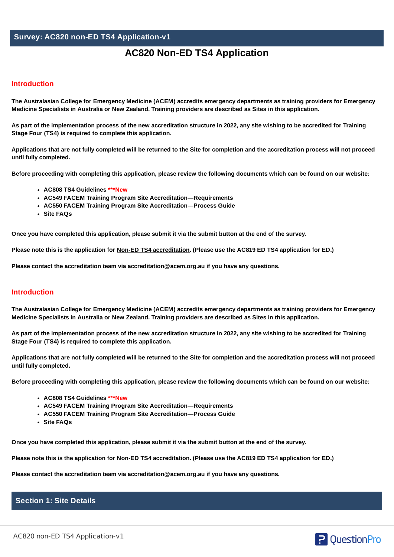# **Survey: AC820 non-ED TS4 Application-v1**

# **AC820 Non-ED TS4 Application**

## **Introduction**

The Australasian College for Emergency Medicine (ACEM) accredits emergency departments as training providers for Emergency **Medicine Specialists in Australia or New Zealand. Training providers are described as Sites in this application.**

As part of the implementation process of the new accreditation structure in 2022, any site wishing to be accredited for Training **Stage Four (TS4) is required to complete this application.**

Applications that are not fully completed will be returned to the Site for completion and the accreditation process will not proceed **until fully completed.**

Before proceeding with completing this application, please review the following documents which can be found on our [website:](https://acem.org.au/Content-Sources/Training/Training-site-accreditation)

- **AC808 TS4 Guidelines \*\*\*New**
- **AC549 FACEM Training Program Site Accreditation—Requirements**
- **AC550 FACEM Training Program Site Accreditation—Process Guide**
- **Site FAQs**

Once you have completed this application, please submit it via the submit button at the end of the survey.

Please note this is the application for Non-ED TS4 accreditation. (Please use the AC819 ED TS4 application for ED.)

**Please contact the accreditation team via [accreditation@acem.org.au](mailto:accreditation@acem.org.au) if you have any questions.**

## **Introduction**

The Australasian College for Emergency Medicine (ACEM) accredits emergency departments as training providers for Emergency **Medicine Specialists in Australia or New Zealand. Training providers are described as Sites in this application.**

As part of the implementation process of the new accreditation structure in 2022, any site wishing to be accredited for Training **Stage Four (TS4) is required to complete this application.**

Applications that are not fully completed will be returned to the Site for completion and the accreditation process will not proceed **until fully completed.**

Before proceeding with completing this application, please review the following documents which can be found on our [website:](https://acem.org.au/Content-Sources/Training/Training-site-accreditation)

- **AC808 TS4 Guidelines \*\*\*New**
- **AC549 FACEM Training Program Site Accreditation—Requirements**
- **AC550 FACEM Training Program Site Accreditation—Process Guide**
- **Site FAQs**

Once you have completed this application, please submit it via the submit button at the end of the survey.

Please note this is the application for Non-ED TS4 accreditation. (Please use the AC819 ED TS4 application for ED.)

**Please contact the accreditation team via [accreditation@acem.org.au](mailto:accreditation@acem.org.au) if you have any questions.**

# **Section 1: Site Details**

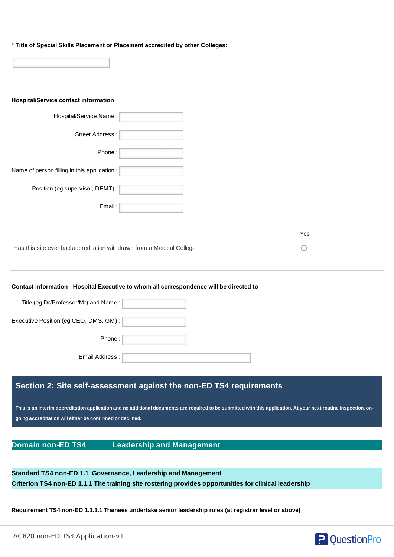**\* Title of Special Skills Placement or Placement accredited by other Colleges:**

| <b>Hospital/Service contact information</b>                                                                                                                       |        |
|-------------------------------------------------------------------------------------------------------------------------------------------------------------------|--------|
| Hospital/Service Name:                                                                                                                                            |        |
| Street Address:                                                                                                                                                   |        |
| Phone:                                                                                                                                                            |        |
| Name of person filling in this application :                                                                                                                      |        |
| Position (eg supervisor, DEMT) :                                                                                                                                  |        |
| Email:                                                                                                                                                            |        |
|                                                                                                                                                                   |        |
|                                                                                                                                                                   | Yes    |
| Has this site ever had accreditation withdrawn from a Medical College                                                                                             | $\Box$ |
|                                                                                                                                                                   |        |
| Contact information - Hospital Executive to whom all correspondence will be directed to                                                                           |        |
| Title (eg Dr/Professor/Mr) and Name:                                                                                                                              |        |
| Executive Position (eg CEO, DMS, GM) :                                                                                                                            |        |
| Phone:                                                                                                                                                            |        |
| Email Address:                                                                                                                                                    |        |
|                                                                                                                                                                   |        |
| Section 2: Site self-assessment against the non-ED TS4 requirements                                                                                               |        |
| This is an interim accreditation application and no additional documents are required to be submitted with this application. At your next routine inspection, on- |        |
| going accreditation will either be confirmed or declined.                                                                                                         |        |
|                                                                                                                                                                   |        |
| <b>Domain non-ED TS4</b><br><b>Leadership and Management</b>                                                                                                      |        |
|                                                                                                                                                                   |        |

**Standard TS4 non-ED 1.1 Governance, Leadership and Management Criterion TS4 non-ED 1.1.1 The training site rostering provides opportunities for clinical leadership**

**Requirement TS4 non-ED 1.1.1.1 Trainees undertake senior leadership roles (at registrar level or above)**

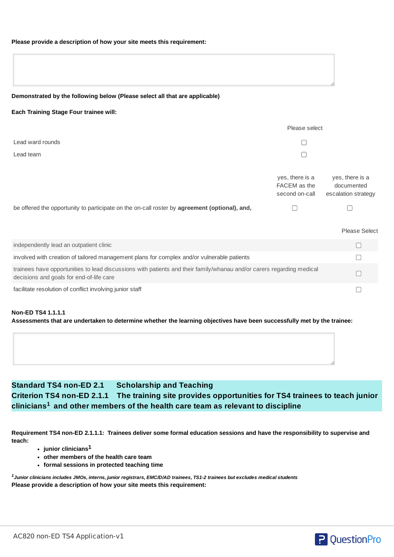### **Please provide a description of how your site meets this requirement:**

| Demonstrated by the following below (Please select all that are applicable) |  |  |
|-----------------------------------------------------------------------------|--|--|
|                                                                             |  |  |

### **Each Training Stage Four trainee will:**

|                                                                                                                                                                   | Please select                                     |                                                      |  |  |
|-------------------------------------------------------------------------------------------------------------------------------------------------------------------|---------------------------------------------------|------------------------------------------------------|--|--|
| Lead ward rounds                                                                                                                                                  |                                                   |                                                      |  |  |
| Lead team                                                                                                                                                         |                                                   |                                                      |  |  |
|                                                                                                                                                                   | yes, there is a<br>FACEM as the<br>second on-call | yes, there is a<br>documented<br>escalation strategy |  |  |
| be offered the opportunity to participate on the on-call roster by agreement (optional), and,                                                                     |                                                   |                                                      |  |  |
|                                                                                                                                                                   |                                                   | <b>Please Select</b>                                 |  |  |
| independently lead an outpatient clinic                                                                                                                           |                                                   |                                                      |  |  |
| involved with creation of tailored management plans for complex and/or vulnerable patients                                                                        |                                                   |                                                      |  |  |
| trainees have opportunities to lead discussions with patients and their family/whanau and/or carers regarding medical<br>decisions and goals for end-of-life care |                                                   |                                                      |  |  |
| facilitate resolution of conflict involving junior staff                                                                                                          |                                                   |                                                      |  |  |

#### **Non-ED TS4 1.1.1.1**

Assessments that are undertaken to determine whether the learning objectives have been successfully met by the trainee:

# **Standard TS4 non-ED 2.1 Scholarship and Teaching Criterion TS4 non-ED 2.1.1 The training site provides opportunities for TS4 trainees to teach junior clinicians and other members of the health care team as relevant to discipline 1**

Requirement TS4 non-ED 2.1.1.1: Trainees deliver some formal education sessions and have the responsibility to supervise and **teach:**

- **junior clinicians 1**
- **other members of the health care team**
- **formal sessions in protected teaching time**

 $^{\rm 1}$ Junior clinicians includes JMOs, interns, junior registrars, EMC/D/AD trainees, TS1-2 trainees but excludes medical students **Please provide a description of how your site meets this requirement:**

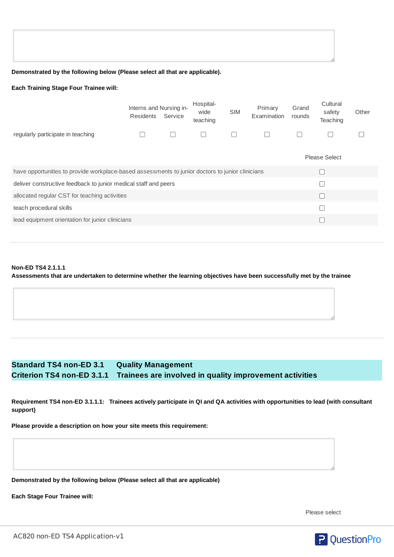#### **Demonstrated by the following below (Please select all that are applicable).**

#### **Each Training Stage Four Trainee will:**

|                                                                                                  | Interns and Nursing in-<br>Residents | Service | Hospital-<br>wide<br>teaching | <b>SIM</b> | Primary<br>Examination | Grand<br>rounds | Cultural<br>safety<br>Teaching | Other |
|--------------------------------------------------------------------------------------------------|--------------------------------------|---------|-------------------------------|------------|------------------------|-----------------|--------------------------------|-------|
| regularly participate in teaching                                                                |                                      |         |                               |            | $\Box$                 |                 |                                |       |
|                                                                                                  |                                      |         |                               |            |                        |                 | <b>Please Select</b>           |       |
| have opportunities to provide workplace-based assessments to junior doctors to junior clinicians |                                      |         |                               |            |                        |                 |                                |       |
| deliver constructive feedback to junior medical staff and peers                                  |                                      |         |                               |            |                        |                 |                                |       |
| allocated regular CST for teaching activities                                                    |                                      |         |                               |            |                        |                 |                                |       |
| teach procedural skills                                                                          |                                      |         |                               |            |                        |                 |                                |       |
| lead equipment orientation for junior clinicians                                                 |                                      |         |                               |            |                        |                 |                                |       |
|                                                                                                  |                                      |         |                               |            |                        |                 |                                |       |

## **Non-ED TS4 2.1.1.1** Assessments that are undertaken to determine whether the learning objectives have been successfully met by the trainee

# **Standard TS4 non-ED 3.1 Quality Management Criterion TS4 non-ED 3.1.1 Trainees are involved in quality improvement activities**

Requirement TS4 non-ED 3.1.1.1: Trainees actively participate in QI and QA activities with opportunities to lead (with consultant **support)**

**Please provide a description on how your site meets this requirement:**

**Demonstrated by the following below (Please select all that are applicable)**

**Each Stage Four Trainee will:**

Please select